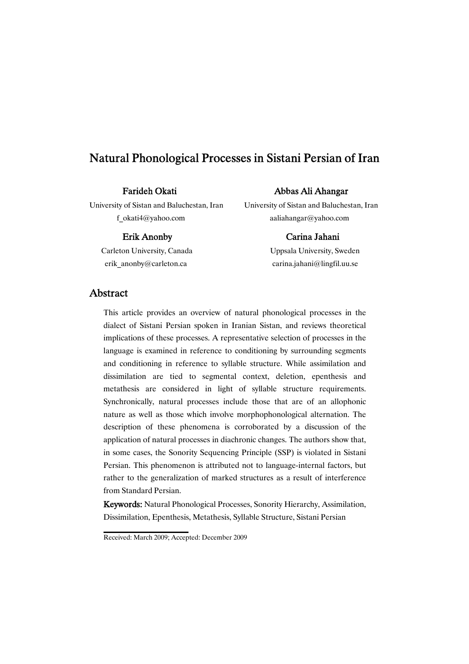# Natural Phonological Processes in Sistani Persian of Iran

University of Sistan and Baluchestan, Iran University of Sistan and Baluchestan, Iran f\_okati4@yahoo.com aaliahangar@yahoo.com

Carleton University, Canada Uppsala University, Sweden

# Farideh Okati Abbas Ali Ahangar

## ErikAnonby CarinaJahani

erik anonby@carleton.ca carina.jahani@lingfil.uu.se

# Abstract

This article provides an overview of natural phonological processes in the dialect of Sistani Persian spoken in Iranian Sistan, and reviews theoretical implications of these processes. A representative selection of processes in the language is examined in reference to conditioning by surrounding segments and conditioning in reference to syllable structure. While assimilation and dissimilation are tied to segmental context, deletion, epenthesis and metathesis are considered in light of syllable structure requirements. Synchronically, natural processes include those that are of an allophonic nature as well as those which involve morphophonological alternation. The description of these phenomena is corroborated by a discussion of the application of natural processes in diachronic changes. The authors show that, in some cases, the Sonority Sequencing Principle (SSP) is violated in Sistani Persian. This phenomenon is attributed not to language-internal factors, but rather to the generalization of marked structures as a result of interference from Standard Persian.

Keywords: Natural Phonological Processes, Sonority Hierarchy, Assimilation, Dissimilation, Epenthesis, Metathesis, Syllable Structure, Sistani Persian

Received: March 2009; Accepted: December 2009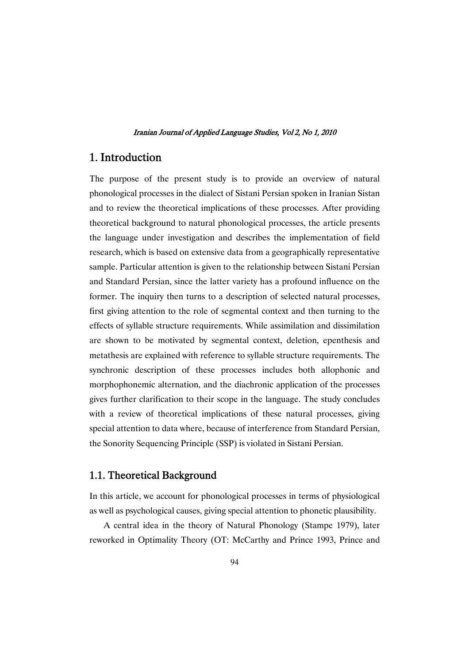# 1.Introduction

The purpose of the present study is to provide an overview of natural phonological processes in the dialect of Sistani Persian spoken in Iranian Sistan and to review the theoretical implications of these processes. After providing theoretical background to natural phonological processes, the article presents the language under investigation and describes the implementation of field research, which is based on extensive data from a geographically representative sample. Particular attention is given to the relationship between Sistani Persian and Standard Persian, since the latter variety has a profound influence on the former. The inquiry then turns to a description of selected natural processes, first giving attention to the role of segmental context and then turning to the effects of syllable structure requirements. While assimilation and dissimilation are shown to be motivated by segmental context, deletion, epenthesis and metathesis are explained with reference to syllable structure requirements. The synchronic description of these processes includes both allophonic and morphophonemic alternation, and the diachronic application of the processes gives further clarification to their scope in the language. The study concludes with a review of theoretical implications of these natural processes, giving special attention to data where, because of interference from Standard Persian, the Sonority Sequencing Principle (SSP) is violated in Sistani Persian.

# 1.1. Theoretical Background

In this article, we account for phonological processes in terms of physiological as well as psychological causes, giving special attention to phonetic plausibility.

A central idea in the theory of Natural Phonology (Stampe 1979), later reworked in Optimality Theory (OT: McCarthy and Prince 1993, Prince and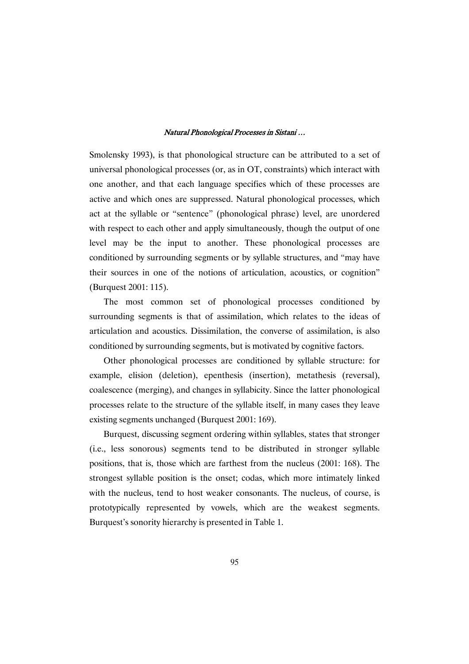Smolensky 1993), is that phonological structure can be attributed to a set of universal phonological processes (or, as in OT, constraints) which interact with one another, and that each language specifies which of these processes are active and which ones are suppressed. Natural phonological processes, which act at the syllable or "sentence" (phonological phrase) level, are unordered with respect to each other and apply simultaneously, though the output of one level may be the input to another. These phonological processes are conditioned by surrounding segments or by syllable structures, and "may have their sources in one of the notions of articulation, acoustics, or cognition" (Burquest 2001: 115).

The most common set of phonological processes conditioned by surrounding segments is that of assimilation, which relates to the ideas of articulation and acoustics. Dissimilation, the converse of assimilation, is also conditioned by surrounding segments, but is motivated by cognitive factors.

Other phonological processes are conditioned by syllable structure: for example, elision (deletion), epenthesis (insertion), metathesis (reversal), coalescence (merging), and changes in syllabicity. Since the latter phonological processes relate to the structure of the syllable itself, in many cases they leave existing segments unchanged (Burquest 2001: 169).

Burquest, discussing segment ordering within syllables, states that stronger (i.e., less sonorous) segments tend to be distributed in stronger syllable positions, that is, those which are farthest from the nucleus (2001: 168). The strongest syllable position is the onset; codas, which more intimately linked with the nucleus, tend to host weaker consonants. The nucleus, of course, is prototypically represented by vowels, which are the weakest segments. Burquest's sonority hierarchy is presented in Table 1.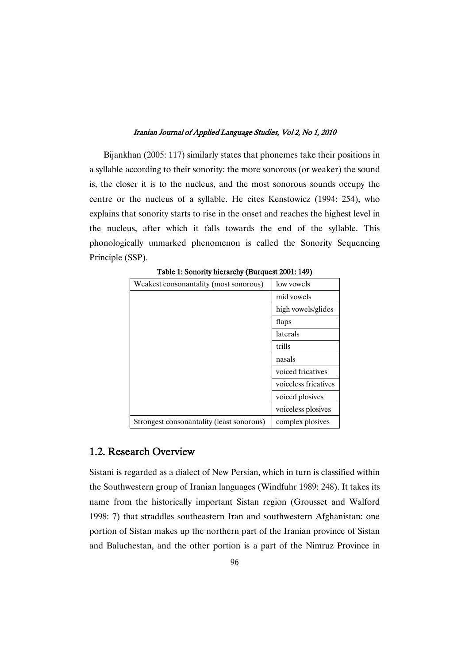Bijankhan (2005: 117) similarly states that phonemes take their positions in a syllable according to their sonority: the more sonorous (or weaker) the sound is, the closer it is to the nucleus, and the most sonorous sounds occupy the centre or the nucleus of a syllable. He cites Kenstowicz (1994: 254), who explains that sonority starts to rise in the onset and reaches the highest level in the nucleus, after which it falls towards the end of the syllable. This phonologically unmarked phenomenon is called the Sonority Sequencing Principle (SSP).

| Weakest consonantality (most sonorous)    | low vowels           |
|-------------------------------------------|----------------------|
|                                           | mid vowels           |
|                                           | high vowels/glides   |
|                                           | flaps                |
|                                           | laterals             |
|                                           | trills               |
|                                           | nasals               |
|                                           | voiced fricatives    |
|                                           | voiceless fricatives |
|                                           | voiced plosives      |
|                                           | voiceless plosives   |
| Strongest consonantality (least sonorous) | complex plosives     |

Table 1: Sonority hierarchy (Burquest 2001: 149)

# 1.2. Research Overview

Sistani is regarded as a dialect of New Persian, which in turn is classified within the Southwestern group of Iranian languages (Windfuhr 1989: 248). It takes its name from the historically important Sistan region (Grousset and Walford 1998: 7) that straddles southeastern Iran and southwestern Afghanistan: one portion of Sistan makes up the northern part of the Iranian province of Sistan and Baluchestan, and the other portion is a part of the Nimruz Province in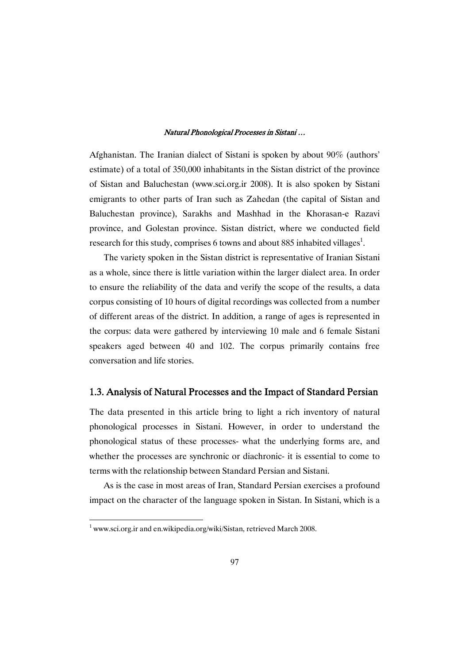Afghanistan. The Iranian dialect of Sistani is spoken by about 90% (authors' estimate) of a total of 350,000 inhabitants in the Sistan district of the province of Sistan and Baluchestan (www.sci.org.ir 2008). It is also spoken by Sistani emigrants to other parts of Iran such as Zahedan (the capital of Sistan and Baluchestan province), Sarakhs and Mashhad in the Khorasan-e Razavi province, and Golestan province. Sistan district, where we conducted field research for this study, comprises 6 towns and about 885 inhabited villages<sup>1</sup>.

The variety spoken in the Sistan district is representative of Iranian Sistani as a whole, since there is little variation within the larger dialect area. In order to ensure the reliability of the data and verify the scope of the results, a data corpus consisting of 10 hours of digital recordings was collected from a number of different areas of the district. In addition, a range of ages is represented in the corpus: data were gathered by interviewing 10 male and 6 female Sistani speakers aged between 40 and 102. The corpus primarily contains free conversation and life stories.

# 1.3. Analysis of Natural Processes and the Impact of Standard Persian

The data presented in this article bring to light a rich inventory of natural phonological processes in Sistani. However, in order to understand the phonological status of these processes- what the underlying forms are, and whether the processes are synchronic or diachronic- it is essential to come to terms with the relationship between Standard Persian and Sistani.

As is the case in most areas of Iran, Standard Persian exercises a profound impact on the character of the language spoken in Sistan. In Sistani, which is a

<sup>&</sup>lt;sup>1</sup> www.sci.org.ir and en.wikipedia.org/wiki/Sistan, retrieved March 2008.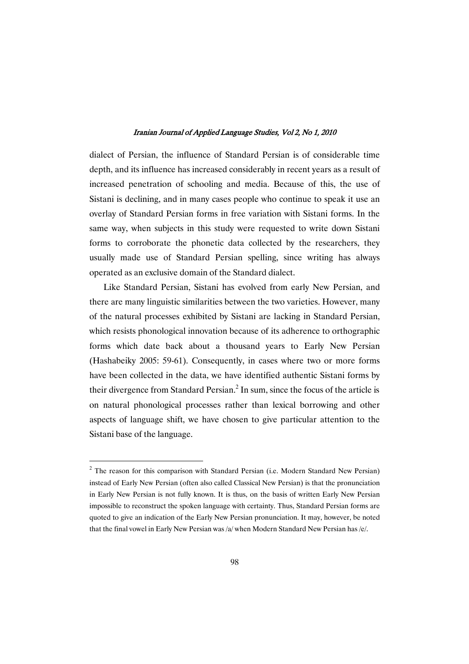dialect of Persian, the influence of Standard Persian is of considerable time depth, and its influence has increased considerably in recent years as a result of increased penetration of schooling and media. Because of this, the use of Sistani is declining, and in many cases people who continue to speak it use an overlay of Standard Persian forms in free variation with Sistani forms. In the same way, when subjects in this study were requested to write down Sistani forms to corroborate the phonetic data collected by the researchers, they usually made use of Standard Persian spelling, since writing has always operated as an exclusive domain of the Standard dialect.

Like Standard Persian, Sistani has evolved from early New Persian, and there are many linguistic similarities between the two varieties. However, many of the natural processes exhibited by Sistani are lacking in Standard Persian, which resists phonological innovation because of its adherence to orthographic forms which date back about a thousand years to Early New Persian (Hashabeiky 2005: 59-61). Consequently, in cases where two or more forms have been collected in the data, we have identified authentic Sistani forms by their divergence from Standard Persian.<sup>2</sup> In sum, since the focus of the article is on natural phonological processes rather than lexical borrowing and other aspects of language shift, we have chosen to give particular attention to the Sistani base of the language.

 $2$  The reason for this comparison with Standard Persian (i.e. Modern Standard New Persian) instead of Early New Persian (often also called Classical New Persian) is that the pronunciation in Early New Persian is not fully known. It is thus, on the basis of written Early New Persian impossible to reconstruct the spoken language with certainty. Thus, Standard Persian forms are quoted to give an indication of the Early New Persian pronunciation. It may, however, be noted that the final vowel in Early New Persian was /a/ when Modern Standard New Persian has /e/.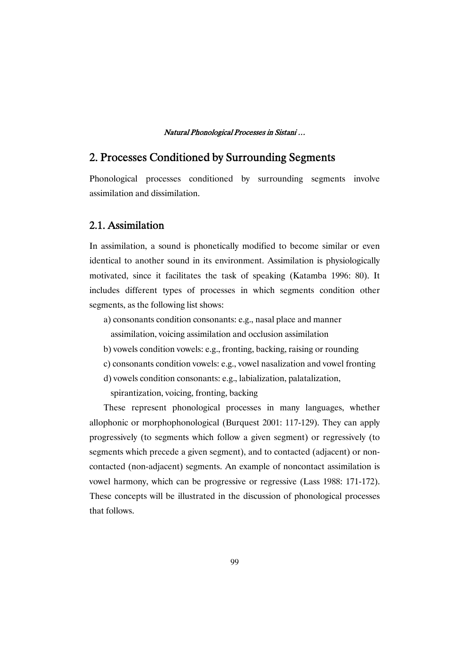# 2. Processes Conditioned by Surrounding Segments

Phonological processes conditioned by surrounding segments involve assimilation and dissimilation.

# 2.1.Assimilation

In assimilation, a sound is phonetically modified to become similar or even identical to another sound in its environment. Assimilation is physiologically motivated, since it facilitates the task of speaking (Katamba 1996: 80). It includes different types of processes in which segments condition other segments, as the following list shows:

- a) consonants condition consonants: e.g., nasal place and manner assimilation, voicing assimilation and occlusion assimilation
- b) vowels condition vowels: e.g., fronting, backing, raising or rounding
- c) consonants condition vowels: e.g., vowel nasalization and vowel fronting
- d) vowels condition consonants: e.g., labialization, palatalization,

spirantization, voicing, fronting, backing

These represent phonological processes in many languages, whether allophonic or morphophonological (Burquest 2001: 117-129). They can apply progressively (to segments which follow a given segment) or regressively (to segments which precede a given segment), and to contacted (adjacent) or noncontacted (non-adjacent) segments. An example of noncontact assimilation is vowel harmony, which can be progressive or regressive (Lass 1988: 171-172). These concepts will be illustrated in the discussion of phonological processes that follows.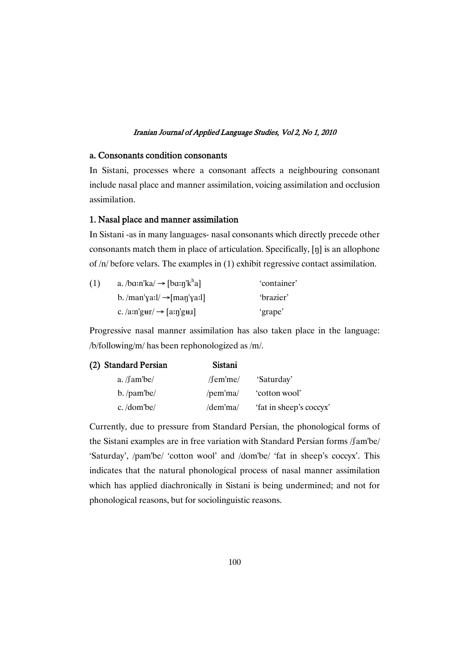#### a. Consonants condition consonants

In Sistani, processes where a consonant affects a neighbouring consonant include nasal place and manner assimilation, voicing assimilation and occlusion assimilation.

## 1. Nasal place and manner assimilation

In Sistani -as in many languages- nasal consonants which directly precede other consonants match them in place of articulation. Specifically,  $[\eta]$  is an allophone of /n/ before velars. The examples in (1) exhibit regressive contact assimilation.

| (1) | a. /bɑːn'ka/ $\rightarrow$ [bɑːŋ'k <sup>h</sup> a] | container' |
|-----|----------------------------------------------------|------------|
|     | b. /man'ya: $l$ / $\rightarrow$ [man'ya:l]         | 'brazier'  |
|     | c. /a:n'gur/ $\rightarrow$ [a:n]gur]               | 'grape'    |

Progressive nasal manner assimilation has also taken place in the language: /b/following/m/ has been rephonologized as /m/.

| (2) Standard Persian           | Sistani      |                         |
|--------------------------------|--------------|-------------------------|
| a. $\frac{\pi}{\text{am}}$ be/ | $/$ fem'me/  | 'Saturday'              |
| $b.$ /pam $be/$                | / $p$ em'ma/ | 'cotton wool'           |
| c./ $dom'be/$                  | /dem'ma/     | 'fat in sheep's coccyx' |

Currently, due to pressure from Standard Persian, the phonological forms of the Sistani examples are in free variation with Standard Persian forms  $\int \frac{\text{am}}{\text{be}}$ 'Saturday', /pam'be/ 'cotton wool' and /dom'be/ 'fat in sheep's coccyx'. This indicates that the natural phonological process of nasal manner assimilation which has applied diachronically in Sistani is being undermined; and not for phonological reasons, but for sociolinguistic reasons.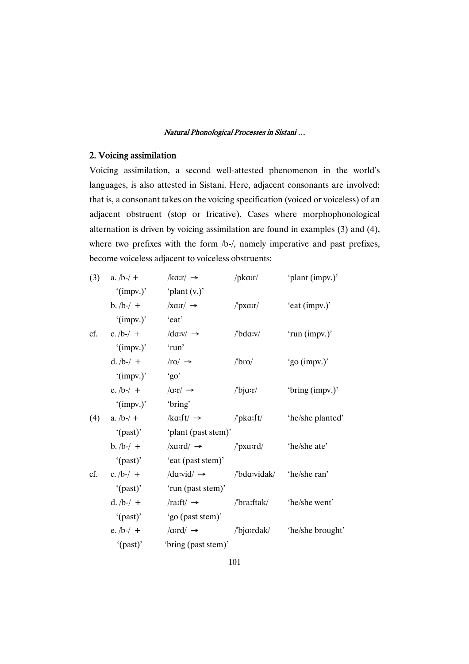# 2. Voicing assimilation

Voicing assimilation, a second well-attested phenomenon in the world's languages, is also attested in Sistani. Here, adjacent consonants are involved: that is, a consonant takes on the voicing specification (voiced or voiceless) of an adjacent obstruent (stop or fricative). Cases where morphophonological alternation is driven by voicing assimilation are found in examples (3) and (4), where two prefixes with the form /b-/, namely imperative and past prefixes, become voiceless adjacent to voiceless obstruents:

| $a. /b$ -/ +       | $/$ ka:r $/ \rightarrow$                       | $/$ pka:r $/$           | 'plant (impv.)'     |
|--------------------|------------------------------------------------|-------------------------|---------------------|
| $'(\text{impv.})'$ | 'plant $(v.)'$                                 |                         |                     |
| $b. /b- / +$       | $/xx$ r/ $\rightarrow$                         | $/$ pxa:r $/$           | 'eat (impv.)'       |
| $'(\text{impv.})'$ | 'eat'                                          |                         |                     |
| c. $/b-/-$ +       | $/$ da:v $/ \rightarrow$                       | $\theta$ da: $v/\theta$ | 'run (impv.)'       |
| $'(\text{impv.})'$ | 'run'                                          |                         |                     |
| $d. /b- / +$       | $\text{r}$ <sup><math>\rightarrow</math></sup> | $/$ bro $/$             | 'go (impv.)'        |
| $'(\text{impv.})'$ | 'go'                                           |                         |                     |
| e./b-/ $+$         | $/ari/ \rightarrow$                            | $\theta$ ja:r/          | 'bring (impv.)'     |
| $'(\text{impv.})'$ | 'bring'                                        |                         |                     |
| $a. /b$ -/ +       | $/k\alpha$ : $\int t / \rightarrow$            | /'pka:∫t/               | 'he/she planted'    |
| '(past)'           |                                                |                         |                     |
| $b. /b/ +$         | $\overline{x}$ a:rd $\overline{y} \rightarrow$ | /ˈpxɑːrd/               | 'he/she ate'        |
| '(past)'           | 'eat (past stem)'                              |                         |                     |
| c. $/b-/-$ +       | $\frac{1}{d}$ /da:vid/ $\rightarrow$           | /bda:vidak/             | 'he/she ran'        |
| '(past)'           | 'run (past stem)'                              |                         |                     |
| $d. /b- / +$       | $/ra:ft/ \rightarrow$                          | /'braːftak/             | 'he/she went'       |
| '(past)'           | 'go (past stem)'                               |                         |                     |
| e./b-/ $+$         | $\alpha$ and $\rightarrow$                     | /'bjɑːrdak/             | 'he/she brought'    |
| '(past)'           | 'bring (past stem)'                            |                         |                     |
|                    |                                                |                         | 'plant (past stem)' |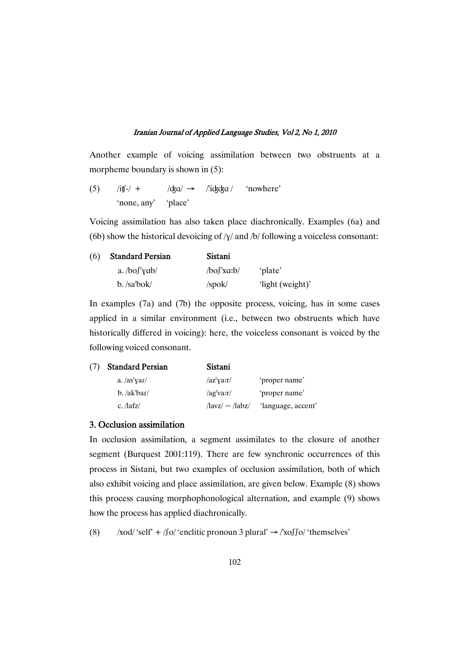Another example of voicing assimilation between two obstruents at a morpheme boundary is shown in (5):

(5)  $/$ itf- $/$  +  $/$   $\frac{d}{d\alpha}$   $\rightarrow$   $/$  $\frac{d}{d\alpha}$   $\alpha$   $/$   $\cdots$  nowhere' 'none, any' 'place'

Voicing assimilation has also taken place diachronically. Examples (6a) and (6b) show the historical devoicing of  $/y/$  and  $/b/$  following a voiceless consonant:

| (6) | <b>Standard Persian</b>    | Sistani      |                  |
|-----|----------------------------|--------------|------------------|
|     | a. $\frac{\log y}{\log x}$ | /bof'xa:b/   | 'plate'          |
|     | $b.$ /sa $\text{bok}$ /    | $/$ spok $/$ | 'light (weight)' |

In examples (7a) and (7b) the opposite process, voicing, has in some cases applied in a similar environment (i.e., between two obstruents which have historically differed in voicing): here, the voiceless consonant is voiced by the following voiced consonant.

| (7) | <b>Standard Persian</b>             | Sistani                               |                    |
|-----|-------------------------------------|---------------------------------------|--------------------|
|     | $a. /as'$ <sub>yar</sub> /          | $\alpha$ z'ya:r/                      | 'proper name'      |
|     | b. /ak'bar/                         | $\alpha$ g'va:r/                      | 'proper name'      |
|     | c. $\frac{\text{flat}}{\text{ast}}$ | $\lambda$ avz $\lambda$ $\sim$ /labz/ | 'language, accent' |

## 3. Occlusion assimilation

In occlusion assimilation, a segment assimilates to the closure of another segment (Burquest 2001:119). There are few synchronic occurrences of this process in Sistani, but two examples of occlusion assimilation, both of which also exhibit voicing and place assimilation, are given below. Example (8) shows this process causing morphophonological alternation, and example (9) shows how the process has applied diachronically.

(8) /xod/ 'self' + / $\int$ o/ 'enclitic pronoun 3 plural'  $\rightarrow$  /xo $\int$  $\int$ o/ 'themselves'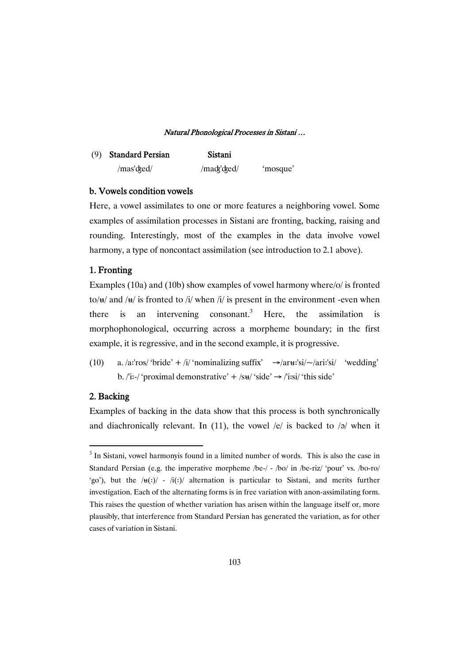| (9) Standard Persian | Sistani     |          |  |
|----------------------|-------------|----------|--|
| $/mas'$ dged         | /madg'dged/ | 'mosque' |  |

# b. Vowels condition vowels

Here, a vowel assimilates to one or more features a neighboring vowel. Some examples of assimilation processes in Sistani are fronting, backing, raising and rounding. Interestingly, most of the examples in the data involve vowel harmony, a type of noncontact assimilation (see introduction to 2.1 above).

## 1.Fronting

Examples (10a) and (10b) show examples of vowel harmony where/o/ is fronted to/ $\mathbf{u}/\mathbf{u}/\mathbf{a}$  is fronted to /i/ when /i/ is present in the environment -even when there is an intervening consonant.<sup>3</sup> Here, the assimilation is morphophonological, occurring across a morpheme boundary; in the first example, it is regressive, and in the second example, it is progressive.

(10) a. /a:'ros/ 'bride' + /i/ 'nominalizing suffix'  $\rightarrow$ /aru:'si/  $\rightarrow$ 'ari:'si/ 'wedding' b. /'i:-/ 'proximal demonstrative' + /su/ 'side'  $\rightarrow$  /'i:si/ 'this side'

# 2.Backing

Examples of backing in the data show that this process is both synchronically and diachronically relevant. In (11), the vowel  $|e|$  is backed to  $|e|$  when it

<sup>&</sup>lt;sup>3</sup> In Sistani, vowel harmonyis found in a limited number of words. This is also the case in Standard Persian (e.g. the imperative morpheme /be-/ - /bo/ in /be-riz/ 'pour' vs. /bo-ro/ 'go'), but the  $/\mathbf{H}(P)$  - /i(e)/ alternation is particular to Sistani, and merits further investigation. Each of the alternating forms is in free variation with anon-assimilating form. This raises the question of whether variation has arisen within the language itself or, more plausibly, that interference from Standard Persian has generated the variation, as for other cases of variation in Sistani.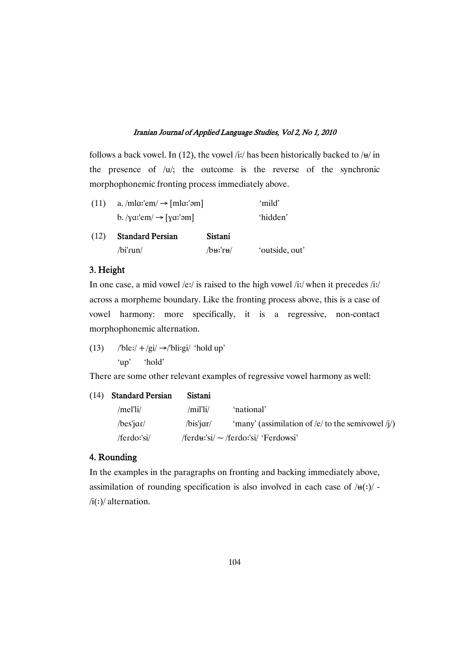follows a back vowel. In (12), the vowel /i:/ has been historically backed to / $\mathbf{H}/\mathbf{in}$ the presence of  $/u$ ; the outcome is the reverse of the synchronic morphophonemic fronting process immediately above.

|      | /bi'run/                                                      | /bʉː'rʉ/ | 'outside, out' |
|------|---------------------------------------------------------------|----------|----------------|
| (12) | <b>Standard Persian</b>                                       | Sistani  |                |
|      | b. / $\gamma$ a:'em/ $\rightarrow$ [ $\gamma$ a:' $\gamma$ m] |          | 'hidden'       |
| (11) | a. /mla: $\text{em}/\rightarrow$ [mla: $\text{em}$ ]          |          | 'mild'         |

# 3.Height

In one case, a mid vowel /e:/ is raised to the high vowel /i:/ when it precedes /i:/ across a morpheme boundary. Like the fronting process above, this is a case of vowel harmony: more specifically, it is a regressive, non-contact morphophonemic alternation.

(13) /'ble:/ +/gi/  $\rightarrow$ /'bli:gi/ 'hold up' 'up' 'hold'

There are some other relevant examples of regressive vowel harmony as well:

| (14) Standard Persian | Sistani         |                                                   |
|-----------------------|-----------------|---------------------------------------------------|
| /mel'li/              | $/$ mil'li $/$  | 'national'                                        |
| /bes'jar/             | $\frac{1}{\pi}$ | 'many' (assimilation of /e/ to the semivowel /j/) |
| /ferdo:'si/           |                 | /ferdu:'si/ $\sim$ /ferdo:'si/ 'Ferdowsi'         |

# 4.Rounding

In the examples in the paragraphs on fronting and backing immediately above, assimilation of rounding specification is also involved in each case of  $/\mathbf{H}(1)$ / - $/i(.)$  alternation.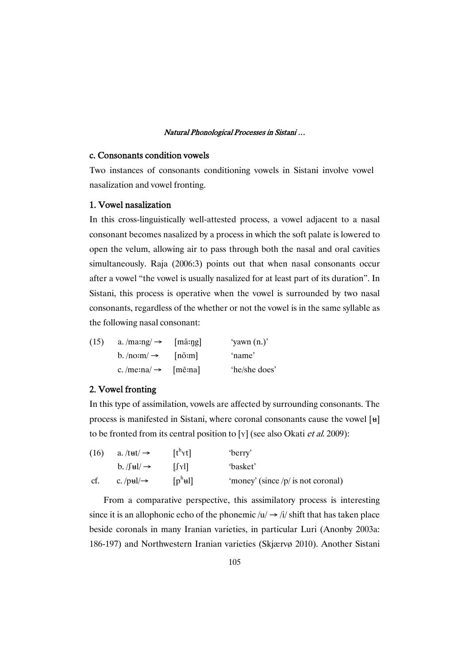#### c. Consonants condition vowels

Two instances of consonants conditioning vowels in Sistani involve vowel nasalization and vowel fronting.

# 1.Vowelnasalization

In this cross-linguistically well-attested process, a vowel adjacent to a nasal consonant becomes nasalized by a process in which the soft palate is lowered to open the velum, allowing air to pass through both the nasal and oral cavities simultaneously. Raja (2006:3) points out that when nasal consonants occur after a vowel "the vowel is usually nasalized for at least part of its duration". In Sistani, this process is operative when the vowel is surrounded by two nasal consonants, regardless of the whether or not the vowel is in the same syllable as the following nasal consonant:

| (15) | a. /ma:ng/ $\rightarrow$        | $[m\tilde{a}:\eta g]$ | 'yawn $(n.)'$ |
|------|---------------------------------|-----------------------|---------------|
|      | b. $/$ no:m $/$ $\rightarrow$   | $[n\tilde{o}:m]$      | 'name'        |
|      | c./me:na/ $\rightarrow$ [mẽ:na] |                       | 'he/she does' |

### 2. Vowel fronting

In this type of assimilation, vowels are affected by surrounding consonants. The process is manifested in Sistani, where coronal consonants cause the vowel  $[\mathbf{u}]$ to be fronted from its central position to [ $\gamma$ ] (see also Okati *et al.* 2009):

| (16) | a. /tut/ $\rightarrow$           | $[t^h$ $\mathbf{Y}$ t]                                                           | 'berry'                              |
|------|----------------------------------|----------------------------------------------------------------------------------|--------------------------------------|
|      | b. $/[\mathbf{H}]$ $\rightarrow$ | $\left\vert \left\vert \left\vert \mathbf{Y}\right\vert \right\vert \right\vert$ | 'basket'                             |
| cf.  | c. $/\text{pul}/\rightarrow$     | $[p^h$ ul]                                                                       | 'money' (since $/p/$ is not coronal) |

From a comparative perspective, this assimilatory process is interesting since it is an allophonic echo of the phonemic  $/u \rightarrow i/$  shift that has taken place beside coronals in many Iranian varieties, in particular Luri (Anonby 2003a: 186-197) and Northwestern Iranian varieties (Skjærvø 2010). Another Sistani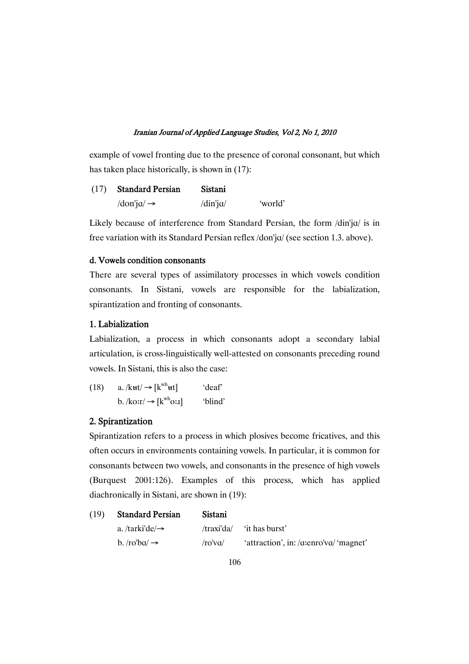example of vowel fronting due to the presence of coronal consonant, but which has taken place historically, is shown in (17):

| (17) | <b>Standard Persian</b>               | Sistani         |         |  |
|------|---------------------------------------|-----------------|---------|--|
|      | $\frac{1}{\text{don'iq}} \rightarrow$ | $/din'i\alpha/$ | 'world' |  |

Likely because of interference from Standard Persian, the form /din'jq/ is in free variation with its Standard Persian reflex /don'jq/ (see section 1.3. above).

## d. Vowels condition consonants

There are several types of assimilatory processes in which vowels condition consonants. In Sistani, vowels are responsible for the labialization, spirantization and fronting of consonants.

# 1.Labialization

Labialization, a process in which consonants adopt a secondary labial articulation, is cross-linguistically well-attested on consonants preceding round vowels. In Sistani, this is also the case:

(18) a.  $/$ k $\text{Ht}$   $\rightarrow$  [k<sup>wh</sup>ut] 'deaf' b.  $/ko\text{tr}\rightarrow [k^{wh}o\text{tr}$  'blind'

# 2.Spirantization

Spirantization refers to a process in which plosives become fricatives, and this often occurs in environments containing vowels. In particular, it is common for consonants between two vowels, and consonants in the presence of high vowels (Burquest 2001:126). Examples of this process, which has applied diachronically in Sistani, are shown in (19):

| (19) | <b>Standard Persian</b>                | Sistani                 |                                        |
|------|----------------------------------------|-------------------------|----------------------------------------|
|      | a./tarki'de/ $\rightarrow$             | /traxi'da/              | it has burst'                          |
|      | b. $\prime$ ro'ba $\prime \rightarrow$ | $\prime$ ro'va $\prime$ | 'attraction', in: /q:enro'vq/ 'magnet' |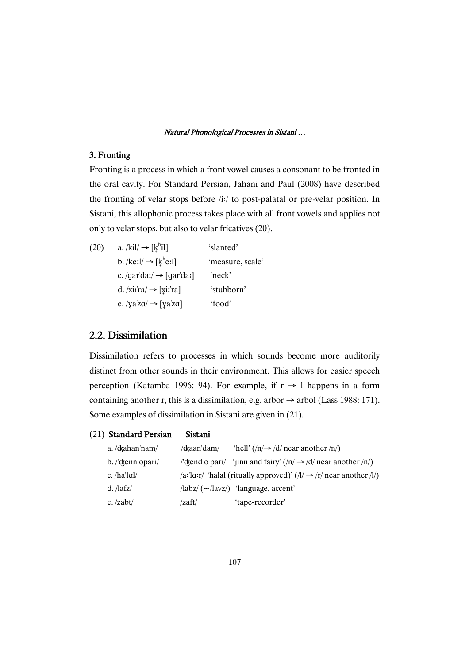# 3.Fronting

Fronting is a process in which a front vowel causes a consonant to be fronted in the oral cavity. For Standard Persian, Jahani and Paul (2008) have described the fronting of velar stops before /i:/ to post-palatal or pre-velar position. In Sistani, this allophonic process takes place with all front vowels and applies not only to velar stops, but also to velar fricatives (20).

| (20) | a. /kil/ $\rightarrow$ [k <sup>h</sup> il] | 'slanted'        |
|------|--------------------------------------------|------------------|
|      | b. /ke: $l/\rightarrow [k^he:1]$           | 'measure, scale' |
|      | c. /qar'daː/ $\rightarrow$ [qar'daː]       | 'neck'           |
|      | d. /xi:ra/ $\rightarrow$ [xi:ra]           | 'stubborn'       |
|      | e. / $y$ a'za/ $\rightarrow$ [ $y$ a'za]   | 'food'           |

# 2.2.Dissimilation

Dissimilation refers to processes in which sounds become more auditorily distinct from other sounds in their environment. This allows for easier speech perception (Katamba 1996: 94). For example, if  $r \rightarrow 1$  happens in a form containing another r, this is a dissimilation, e.g. arbor  $\rightarrow$  arbol (Lass 1988: 171). Some examples of dissimilation in Sistani are given in (21).

#### (21) Standard Persian Sistani

| $a. /d$ gahan'nam/      | /dzaan'dam/ | 'hell' $( n  \rightarrow  d )$ near another $ n $ )                              |
|-------------------------|-------------|----------------------------------------------------------------------------------|
| b. /ˈʤenn opari/        |             | /'dyend o pari/ 'jinn and fairy' $(\frac{n}{\rightarrow}$ /d/ near another /n/)  |
| c. $/ha'$ ld $/$        |             | /a:'la:r/ 'halal (ritually approved)' $(l/\rightarrow r/\text{ near another/l})$ |
| $d. / \frac{a f}{z}$    |             | $\frac{1}{\text{labz}}\left(\frac{\sim}{\text{avz}}\right)$ 'language, accent'   |
| e. $\zeta$ zabt $\zeta$ | /zaft/      | 'tape-recorder'                                                                  |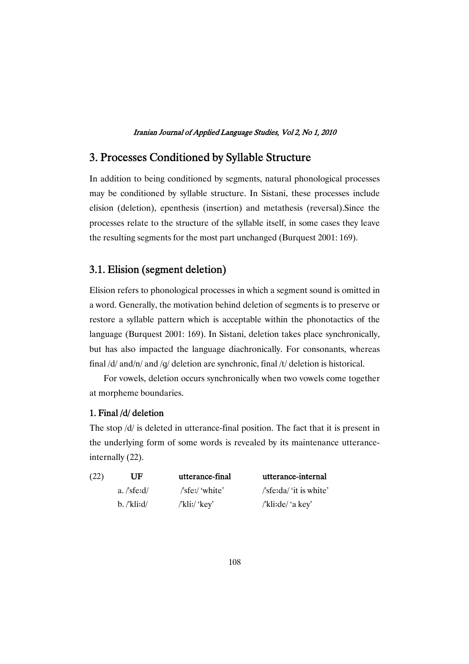# 3. Processes Conditioned by Syllable Structure

In addition to being conditioned by segments, natural phonological processes may be conditioned by syllable structure. In Sistani, these processes include elision (deletion), epenthesis (insertion) and metathesis (reversal).Since the processes relate to the structure of the syllable itself, in some cases they leave the resulting segments for the most part unchanged (Burquest 2001: 169).

# 3.1. Elision (segment deletion)

Elision refers to phonological processes in which a segment sound is omitted in a word. Generally, the motivation behind deletion of segments is to preserve or restore a syllable pattern which is acceptable within the phonotactics of the language (Burquest 2001: 169). In Sistani, deletion takes place synchronically, but has also impacted the language diachronically. For consonants, whereas final  $\frac{d}{dx}$  and/n/ and  $\frac{q}{dt}$  deletion are synchronic, final  $\frac{t}{dt}$  deletion is historical.

For vowels, deletion occurs synchronically when two vowels come together at morpheme boundaries.

# 1.Final/d/deletion

The stop /d/ is deleted in utterance-final position. The fact that it is present in the underlying form of some words is revealed by its maintenance utteranceinternally (22).

| (22) | UF                      | utterance-final | utterance-internal      |
|------|-------------------------|-----------------|-------------------------|
|      | a. $\sqrt{\text{sfed}}$ | /'sfe:/ 'white' | /'sfe:da/ 'it is white' |
|      | $b.$ /klisd/            | /'kli:/ 'key'   | /kli:de/ 'a key'        |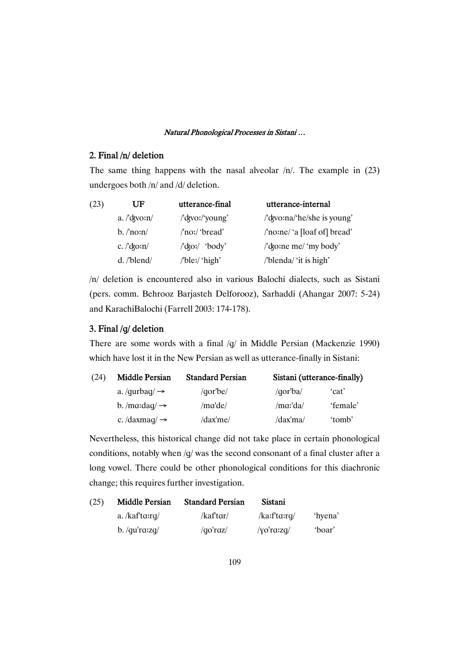# 2.Final/n/deletion

The same thing happens with the nasal alveolar  $/n/$ . The example in (23) undergoes both /n/ and /d/ deletion.

| (23) | UF                             | utterance-final | utterance-internal          |
|------|--------------------------------|-----------------|-----------------------------|
|      | $a. /$ <i>d</i> svo $\cdot n/$ | /'dyo:/'young'  | /'dyo:na/'he/she is young'  |
|      | $b.$ /'no:n/                   | /'noː/ 'bread'  | /'no:ne/'a [loaf of] bread' |
|      | c. $/\text{d}$ o:n $/$         | /'cko:/ 'body'  | /'do:ne me/ 'my body'       |
|      | $d.$ /blend/                   | /'ble:/ 'high'  | /'blenda/ 'it is high'      |

/n/ deletion is encountered also in various Balochi dialects, such as Sistani (pers. comm. Behrooz Barjasteh Delforooz), Sarhaddi (Ahangar 2007: 5-24) and KarachiBalochi (Farrell 2003: 174-178).

## 3. Final  $/q$  deletion

There are some words with a final  $/q$  in Middle Persian (Mackenzie 1990) which have lost it in the New Persian as well as utterance-finally in Sistani:

| (24) | <b>Middle Persian</b>      | <b>Standard Persian</b> | Sistani (utterance-finally) |          |
|------|----------------------------|-------------------------|-----------------------------|----------|
|      | a. /qurbaq/ $\rightarrow$  | $qor$ be/               | /qor $ba/$                  | 'cat'    |
|      | b. /ma:daq/ $\rightarrow$  | /ma'de/                 | /maː'da/                    | 'female' |
|      | c. $/daxmag / \rightarrow$ | /dax'me/                | /dax'ma/                    | 'tomb'   |

Nevertheless, this historical change did not take place in certain phonological conditions, notably when  $/q$  was the second consonant of a final cluster after a long vowel. There could be other phonological conditions for this diachronic change; this requires further investigation.

| (25) | <b>Middle Persian</b> | <b>Standard Persian</b> | Sistani         |         |
|------|-----------------------|-------------------------|-----------------|---------|
|      | a. /kaf'ta:rq/        | /kaf'tar/               | $/k$ a:f'ta:rq/ | 'hyena' |
|      | $b.$ /qu'ra:zq/       | $\sqrt{q}o' r\alpha z$  | /yo'ra:zq/      | 'boar'  |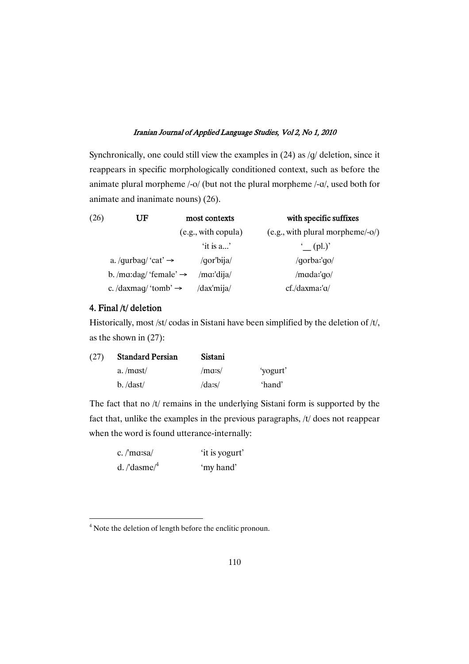Synchronically, one could still view the examples in  $(24)$  as  $/q$  deletion, since it reappears in specific morphologically conditioned context, such as before the animate plural morpheme /-o/ (but not the plural morpheme /-a/, used both for animate and inanimate nouns) (26).

| (26) | UF                                | most contexts       | with specific suffixes            |
|------|-----------------------------------|---------------------|-----------------------------------|
|      |                                   | (e.g., with copula) | $(e.g., with plural morpheme/-o/$ |
|      |                                   | 'it is a'           | $\prime$ (pl.)'                   |
|      | a. /qurbaq/ 'cat' $\rightarrow$   | /qor'bija/          | /qorba:'qo/                       |
|      | b./ma:dag/ 'female' $\rightarrow$ | /maː'dija/          | /mada:'qo/                        |
|      | c. /daxmaq/ 'tomb' $\rightarrow$  | /dax'mija/          | cf./daxma'                        |

# 4.Final/t/deletion

Historically, most /st/ codas in Sistani have been simplified by the deletion of /t/, as the shown in (27):

| (27) | <b>Standard Persian</b> | Sistani            |          |
|------|-------------------------|--------------------|----------|
|      | a. $/mast/$             | $/$ ma:s $/$       | 'yogurt' |
|      | $b. / \text{dast}$      | $\frac{d}{da}$ :s/ | 'hand'   |

The fact that no /t/ remains in the underlying Sistani form is supported by the fact that, unlike the examples in the previous paragraphs, /t/ does not reappear when the word is found utterance-internally:

| c./ $maxa/$       | 'it is yogurt' |
|-------------------|----------------|
| d./ $d$ asme $/4$ | 'my hand'      |

<sup>4</sup> Note the deletion of length before the enclitic pronoun.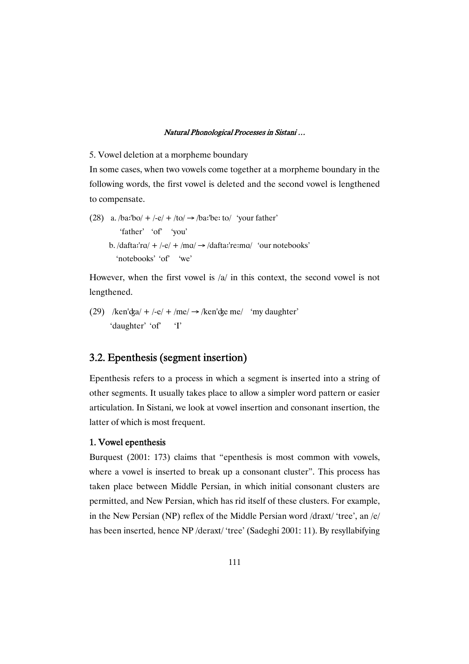5. Vowel deletion at a morpheme boundary

In some cases, when two vowels come together at a morpheme boundary in the following words, the first vowel is deleted and the second vowel is lengthened to compensate.

(28) a.  $\sqrt{ba}$ <sup>t</sup>bo/ +  $\sqrt{-e}/ + \sqrt{to}/ \rightarrow$  /bar<sup>'b</sup>er to/ 'your father' 'father' 'of' 'you' b. /dafta:'rq/ + /-e/ + /mq/  $\rightarrow$  /dafta:'re:mq/ 'our notebooks' 'notebooks' 'of' 'we'

However, when the first vowel is /a/ in this context, the second vowel is not lengthened.

(29) /ken'dga/ + /-e/ + /me/  $\rightarrow$  /ken'dge me/ 'my daughter' 'daughter' 'of' 'I'

# 3.2. Epenthesis (segment insertion)

Epenthesis refers to a process in which a segment is inserted into a string of other segments. It usually takes place to allow a simpler word pattern or easier articulation. In Sistani, we look at vowel insertion and consonant insertion, the latter of which is most frequent.

### 1. Vowel epenthesis

Burquest (2001: 173) claims that "epenthesis is most common with vowels, where a vowel is inserted to break up a consonant cluster". This process has taken place between Middle Persian, in which initial consonant clusters are permitted, and New Persian, which has rid itself of these clusters. For example, in the New Persian (NP) reflex of the Middle Persian word /draxt/ 'tree', an /e/ has been inserted, hence NP /deraxt/ 'tree' (Sadeghi 2001: 11). By resyllabifying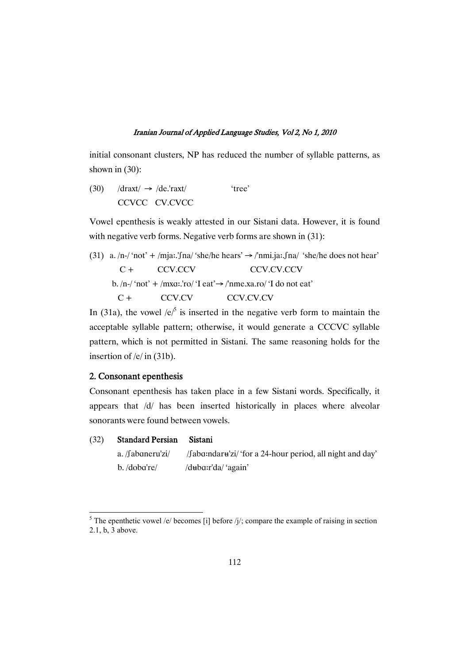initial consonant clusters, NP has reduced the number of syllable patterns, as shown in (30):

$$
(30) \quad / \text{drast} / \rightarrow / \text{de} \cdot \text{rast} / \quad \text{`tree'}
$$
\n
$$
\text{CCVCC} \quad \text{CV.CVCC}
$$

Vowel epenthesis is weakly attested in our Sistani data. However, it is found with negative verb forms. Negative verb forms are shown in  $(31)$ :

(31) a. /n-/ 'not' + /mja:. 'fna/ 'she/he hears' 
$$
\rightarrow
$$
 /nmi. ja: .fna/ 'she/he does not hear'  
\nC + CCV.CCV  
\nb. /n-/ 'not' + /mxa:. 'ro/ 'I eat'  $\rightarrow$  /nme.xa.ro/ 'I do not eat'  
\nC + CCV.CV  
\nCCV.CV. CV

In (31a), the vowel  $/e^{\delta}$  is inserted in the negative verb form to maintain the acceptable syllable pattern; otherwise, it would generate a CCCVC syllable pattern, which is not permitted in Sistani. The same reasoning holds for the insertion of /e/ in (31b).

## 2. Consonant epenthesis

Consonant epenthesis has taken place in a few Sistani words. Specifically, it appears that /d/ has been inserted historically in places where alveolar sonorants were found between vowels.

## (32) Standard Persian Sistani

| a. $\int$ abaneru'zi $\int$ | /faba:ndaru/zi/ 'for a 24-hour period, all night and day' |
|-----------------------------|-----------------------------------------------------------|
| b. / doba're/               | /dubarr'da/ 'again'                                       |

 $5$  The epenthetic vowel /e/ becomes [i] before /j/; compare the example of raising in section 2.1, b, 3 above.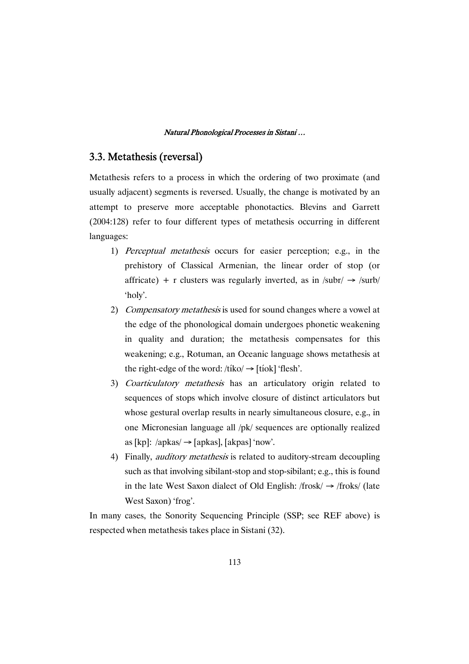# 3.3.Metathesis(reversal)

Metathesis refers to a process in which the ordering of two proximate (and usually adjacent) segments is reversed. Usually, the change is motivated by an attempt to preserve more acceptable phonotactics. Blevins and Garrett (2004:128) refer to four different types of metathesis occurring in different languages:

- 1) Perceptual metathesis occurs for easier perception; e.g., in the prehistory of Classical Armenian, the linear order of stop (or affricate) + r clusters was regularly inverted, as in  $\frac{\text{subr}}{\text{subr}}$   $\rightarrow$   $\frac{\text{subr}}{\text{subr}}$ 'holy'.
- 2) Compensatory metathesis is used for sound changes where a vowel at the edge of the phonological domain undergoes phonetic weakening in quality and duration; the metathesis compensates for this weakening; e.g., Rotuman, an Oceanic language shows metathesis at the right-edge of the word:  $/t$ iko $/ \rightarrow$  [tiok] 'flesh'.
- 3) Coarticulatory metathesis has an articulatory origin related to sequences of stops which involve closure of distinct articulators but whose gestural overlap results in nearly simultaneous closure, e.g., in one Micronesian language all /pk/ sequences are optionally realized as [kp]: /apkas/  $\rightarrow$  [apkas], [akpas] 'now'.
- 4) Finally, *auditory metathesis* is related to auditory-stream decoupling such as that involving sibilant-stop and stop-sibilant; e.g., this is found in the late West Saxon dialect of Old English:  $\text{/frosk/}\rightarrow\text{/froks/}$  (late West Saxon) 'frog'.

In many cases, the Sonority Sequencing Principle (SSP; see REF above) is respected when metathesis takes place in Sistani (32).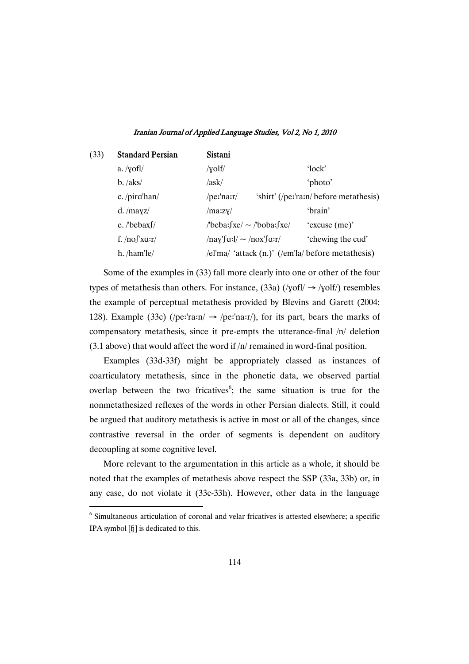| $'$ lock'<br>$/y$ olf $/$<br>$a. / \gamma$ ofl $/$<br>b. /aks/<br>/ask/<br>'photo'<br>'shirt' (/peː'raːn/ before metathesis)<br>c. /pirq'han/<br>/ $per'$ na:r/<br>'brain'<br>d. /maxz/<br>$/$ ma:zy $/$<br>/beba: $fxe / \sim$ /boba: $fxe /$<br>e./bebax $\int$ /<br>'excuse (me)' |  |
|--------------------------------------------------------------------------------------------------------------------------------------------------------------------------------------------------------------------------------------------------------------------------------------|--|
|                                                                                                                                                                                                                                                                                      |  |
|                                                                                                                                                                                                                                                                                      |  |
|                                                                                                                                                                                                                                                                                      |  |
|                                                                                                                                                                                                                                                                                      |  |
|                                                                                                                                                                                                                                                                                      |  |
| 'chewing the cud'<br>f. $/nof'xar'$<br>$\langle$ nay' $\int$ a:l $\angle$ /nox' $\int$ a:r $\angle$                                                                                                                                                                                  |  |
| /el'ma/ 'attack (n.)' (/em'la/ before metathesis)<br>$h. /ham'$ le/                                                                                                                                                                                                                  |  |

Some of the examples in (33) fall more clearly into one or other of the four types of metathesis than others. For instance, (33a) (/yofl/  $\rightarrow$  /yolf/) resembles the example of perceptual metathesis provided by Blevins and Garett (2004: 128). Example (33c) (/per/ram/  $\rightarrow$  /per/nam/), for its part, bears the marks of compensatory metathesis, since it pre-empts the utterance-final /n/ deletion (3.1 above) that would affect the word if /n/ remained in word-final position.

Examples (33d-33f) might be appropriately classed as instances of coarticulatory metathesis, since in the phonetic data, we observed partial overlap between the two fricatives<sup>6</sup>; the same situation is true for the nonmetathesized reflexes of the words in other Persian dialects. Still, it could be argued that auditory metathesis is active in most or all of the changes, since contrastive reversal in the order of segments is dependent on auditory decoupling at some cognitive level.

More relevant to the argumentation in this article as a whole, it should be noted that the examples of metathesis above respect the SSP (33a, 33b) or, in any case, do not violate it (33c-33h). However, other data in the language

 $6$  Simultaneous articulation of coronal and velar fricatives is attested elsewhere; a specific IPA symbol [h] is dedicated to this.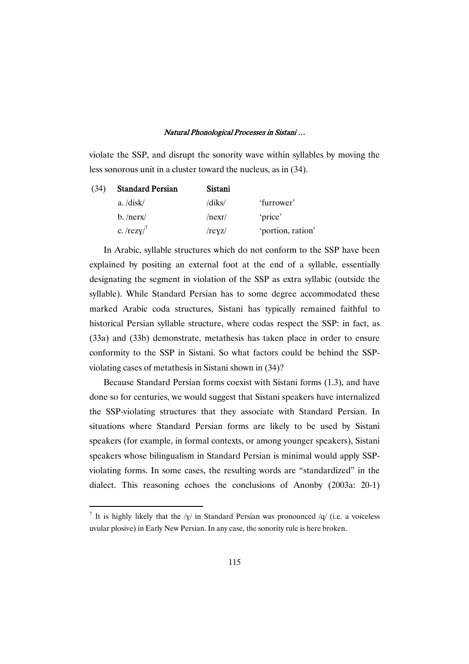violate the SSP, and disrupt the sonority wave within syllables by moving the less sonorous unit in a cluster toward the nucleus, as in (34).

| (34) | <b>Standard Persian</b> | <b>Sistani</b> |                   |
|------|-------------------------|----------------|-------------------|
|      | a. /disk/               | /diks/         | 'furrower'        |
|      | $b. /n$ erx $/$         | $/$ nexr $/$   | 'price'           |
|      | c. $/regy'$             | /reyz/         | 'portion, ration' |

In Arabic, syllable structures which do not conform to the SSP have been explained by positing an external foot at the end of a syllable, essentially designating the segment in violation of the SSP as extra syllabic (outside the syllable). While Standard Persian has to some degree accommodated these marked Arabic coda structures, Sistani has typically remained faithful to historical Persian syllable structure, where codas respect the SSP: in fact, as (33a) and (33b) demonstrate, metathesis has taken place in order to ensure conformity to the SSP in Sistani. So what factors could be behind the SSPviolating cases of metathesis in Sistani shown in (34)?

Because Standard Persian forms coexist with Sistani forms (1.3), and have done so for centuries, we would suggest that Sistani speakers have internalized the SSP-violating structures that they associate with Standard Persian. In situations where Standard Persian forms are likely to be used by Sistani speakers (for example, in formal contexts, or among younger speakers), Sistani speakers whose bilingualism in Standard Persian is minimal would apply SSPviolating forms. In some cases, the resulting words are "standardized" in the dialect. This reasoning echoes the conclusions of Anonby (2003a: 20-1)

<sup>&</sup>lt;sup>7</sup> It is highly likely that the /y/ in Standard Persian was pronounced /q/ (i.e. a voiceless uvular plosive) in Early New Persian. In any case, the sonority rule is here broken.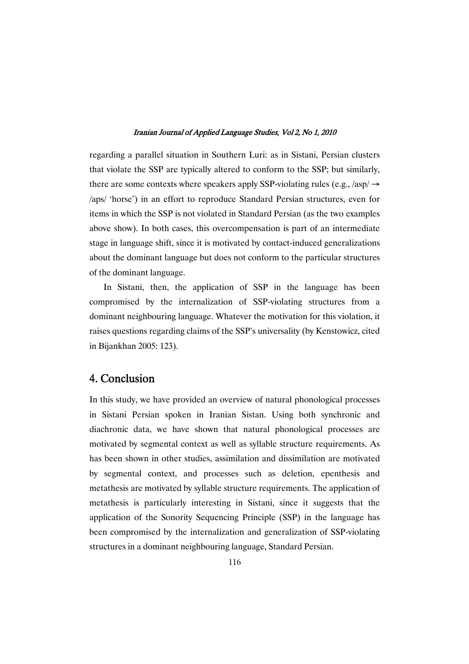regarding a parallel situation in Southern Luri: as in Sistani, Persian clusters that violate the SSP are typically altered to conform to the SSP; but similarly, there are some contexts where speakers apply SSP-violating rules (e.g., /asp/ $\rightarrow$ /aps/ 'horse') in an effort to reproduce Standard Persian structures, even for items in which the SSP is not violated in Standard Persian (as the two examples above show). In both cases, this overcompensation is part of an intermediate stage in language shift, since it is motivated by contact-induced generalizations about the dominant language but does not conform to the particular structures of the dominant language.

In Sistani, then, the application of SSP in the language has been compromised by the internalization of SSP-violating structures from a dominant neighbouring language. Whatever the motivation for this violation, it raises questions regarding claims of the SSP's universality (by Kenstowicz, cited in Bijankhan 2005: 123).

# 4.Conclusion

In this study, we have provided an overview of natural phonological processes in Sistani Persian spoken in Iranian Sistan. Using both synchronic and diachronic data, we have shown that natural phonological processes are motivated by segmental context as well as syllable structure requirements. As has been shown in other studies, assimilation and dissimilation are motivated by segmental context, and processes such as deletion, epenthesis and metathesis are motivated by syllable structure requirements. The application of metathesis is particularly interesting in Sistani, since it suggests that the application of the Sonority Sequencing Principle (SSP) in the language has been compromised by the internalization and generalization of SSP-violating structures in a dominant neighbouring language, Standard Persian.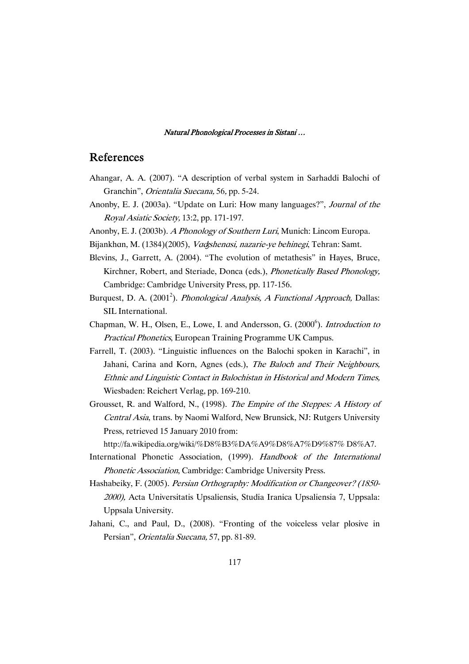# References

- Ahangar, A. A. (2007). "A description of verbal system in Sarhaddi Balochi of Granchin", Orientalia Suecana, 56, pp. 5-24.
- Anonby, E. J. (2003a). "Update on Luri: How many languages?", Journal of the Royal Asiatic Society, 13:2, pp. 171-197.
- Anonby, E. J. (2003b). <sup>A</sup> Phonology of Southern Luri, Munich: Lincom Europa.
- Bijankhon, M. (1384)(2005), Vackshenasi, nazarie-ye behinegi, Tehran: Samt.
- Blevins, J., Garrett, A. (2004). "The evolution of metathesis" in Hayes, Bruce, Kirchner, Robert, and Steriade, Donca (eds.), Phonetically Based Phonology, Cambridge: Cambridge University Press, pp. 117-156.
- Burquest, D. A. (2001<sup>2</sup>). *Phonological Analysis, A Functional Approach,* Dallas: SIL International.
- Chapman, W. H., Olsen, E., Lowe, I. and Andersson, G. (2000<sup>6</sup>). Introduction to Practical Phonetics, European Training Programme UK Campus.
- Farrell, T. (2003). "Linguistic influences on the Balochi spoken in Karachi", in Jahani, Carina and Korn, Agnes (eds.), The Baloch and Their Neighbours, Ethnic and Linguistic Contact in Balochistan in Historical and Modern Times, Wiesbaden: Reichert Verlag, pp. 169-210.
- Grousset, R. and Walford, N., (1998). The Empire of the Steppes: <sup>A</sup> History of Central Asia, trans. by Naomi Walford, New Brunsick, NJ: Rutgers University Press, retrieved 15 January 2010 from:

http://fa.wikipedia.org/wiki/%D8%B3%DA%A9%D8%A7%D9%87% D8%A7.

- International Phonetic Association, (1999). Handbook of the International Phonetic Association, Cambridge: Cambridge University Press.
- Hashabeiky, F. (2005). Persian Orthography: Modification or Changeover? (1850- 2000), Acta Universitatis Upsaliensis, Studia Iranica Upsaliensia 7, Uppsala: Uppsala University.
- Jahani, C., and Paul, D., (2008). "Fronting of the voiceless velar plosive in Persian", Orientalia Suecana, 57, pp. 81-89.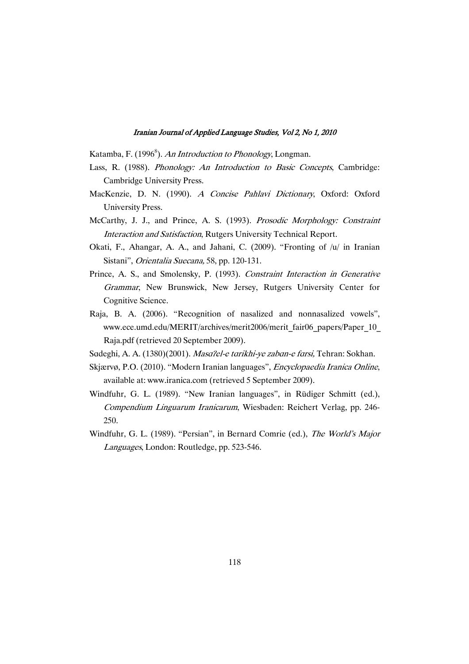Katamba, F. (1996<sup>8</sup>). An Introduction to Phonology, Longman.

- Lass, R. (1988). Phonology: An Introduction to Basic Concepts, Cambridge: Cambridge University Press.
- MacKenzie, D. N. (1990). <sup>A</sup> Concise Pahlavi Dictionary, Oxford: Oxford University Press.
- McCarthy, J. J., and Prince, A. S. (1993). Prosodic Morphology: Constraint Interaction and Satisfaction, Rutgers University Technical Report.
- Okati, F., Ahangar, A. A., and Jahani, C. (2009). "Fronting of /u/ in Iranian Sistani", Orientalia Suecana, 58, pp. 120-131.
- Prince, A. S., and Smolensky, P. (1993). Constraint Interaction in Generative Grammar, New Brunswick, New Jersey, Rutgers University Center for Cognitive Science.
- Raja, B. A. (2006). "Recognition of nasalized and nonnasalized vowels", www.ece.umd.edu/MERIT/archives/merit2006/merit\_fair06\_papers/Paper\_10\_ Raja.pdf (retrieved 20 September 2009).
- Sadeghi, A. A. (1380)(2001). Masa?el-e tarikhi-ye zaban-e farsi, Tehran: Sokhan.
- Skjærvø, P.O. (2010). "Modern Iranian languages", Encyclopaedia Iranica Online, available at: www.iranica.com (retrieved 5 September 2009).
- Windfuhr, G. L. (1989). "New Iranian languages", in Rüdiger Schmitt (ed.), Compendium Linguarum Iranicarum, Wiesbaden: Reichert Verlag, pp. 246- 250.
- Windfuhr, G. L. (1989). "Persian", in Bernard Comrie (ed.), The World's Major Languages, London: Routledge, pp. 523-546.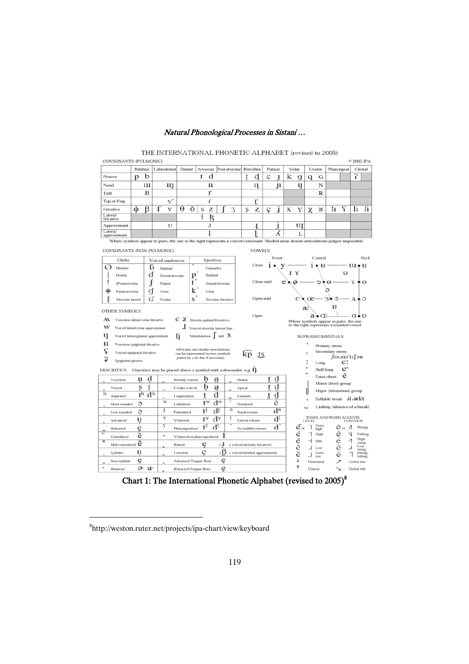| <b>CONSONANTS (PULMONIC)</b>                                                                                                            |                                                                                                         |                           |                                        |                                   |                                                         |   | THE INTERNATIONAL PHONETIC ALPHABET (revised to 2005)              |                                                      |                                 |                                           |                                                                                    |                                |   |                                                          |              |       |                    |              |                              |                |                                          | © 2005 IPA               |  |
|-----------------------------------------------------------------------------------------------------------------------------------------|---------------------------------------------------------------------------------------------------------|---------------------------|----------------------------------------|-----------------------------------|---------------------------------------------------------|---|--------------------------------------------------------------------|------------------------------------------------------|---------------------------------|-------------------------------------------|------------------------------------------------------------------------------------|--------------------------------|---|----------------------------------------------------------|--------------|-------|--------------------|--------------|------------------------------|----------------|------------------------------------------|--------------------------|--|
|                                                                                                                                         |                                                                                                         | <b>Bilabial</b>           |                                        | Labiodental                       | Post alveolar Retroflex<br>Dental<br>Alveolar           |   |                                                                    |                                                      |                                 | Palatal                                   |                                                                                    |                                |   | Velar<br>Uvular                                          |              |       | Pharyngeal         |              |                              | <b>Glottal</b> |                                          |                          |  |
| Plosive                                                                                                                                 | D                                                                                                       | b                         |                                        |                                   |                                                         |   | d<br>t                                                             |                                                      |                                 |                                           |                                                                                    | a                              | c | Ŧ                                                        | k            | g     | q                  | G            |                              |                | 2                                        |                          |  |
| Nasal                                                                                                                                   |                                                                                                         | m                         |                                        | m                                 |                                                         |   | n                                                                  |                                                      |                                 |                                           |                                                                                    | ŋ                              |   | n                                                        |              | ŋ     |                    | N            |                              |                |                                          |                          |  |
| Trill                                                                                                                                   |                                                                                                         | в                         |                                        |                                   |                                                         |   | r                                                                  |                                                      |                                 |                                           |                                                                                    |                                |   |                                                          |              |       |                    | $\mathbf R$  |                              |                |                                          |                          |  |
| <b>Tap or Flap</b>                                                                                                                      |                                                                                                         |                           |                                        | v                                 |                                                         |   | ſ                                                                  |                                                      |                                 |                                           |                                                                                    | U                              |   |                                                          |              |       |                    |              |                              |                |                                          |                          |  |
| Fricative                                                                                                                               | Φ                                                                                                       | ß                         | f                                      | v                                 | θ                                                       | ð | z<br>S                                                             |                                                      |                                 | 3                                         | S                                                                                  | Z,                             |   |                                                          | х            | V     |                    | к            | ħ                            | ና              | h                                        | fi                       |  |
| Lateral<br>fricative                                                                                                                    |                                                                                                         |                           |                                        |                                   |                                                         |   | ┫                                                                  | k                                                    |                                 |                                           |                                                                                    |                                |   |                                                          |              |       |                    |              |                              |                |                                          |                          |  |
| Approximant                                                                                                                             |                                                                                                         |                           |                                        | υ                                 |                                                         |   | J.                                                                 |                                                      |                                 |                                           |                                                                                    |                                |   |                                                          |              | ш     |                    |              |                              |                |                                          |                          |  |
| Lateral<br>approximant                                                                                                                  |                                                                                                         |                           |                                        |                                   |                                                         |   |                                                                    |                                                      |                                 |                                           |                                                                                    |                                |   | κ                                                        |              | L     |                    |              |                              |                |                                          |                          |  |
| Where symbols appear in pairs, the one to the right represents a voiced consonant. Shaded areas denote articulations judged impossible. |                                                                                                         |                           |                                        |                                   |                                                         |   |                                                                    |                                                      |                                 |                                           |                                                                                    |                                |   |                                                          |              |       |                    |              |                              |                |                                          |                          |  |
| CONSONANTS (NON-PULMONIC)                                                                                                               |                                                                                                         |                           |                                        |                                   |                                                         |   |                                                                    |                                                      |                                 |                                           |                                                                                    | <b>VOWELS</b>                  |   |                                                          |              |       |                    |              |                              |                |                                          |                          |  |
| <b>Clicks</b><br><b>Voiced implosives</b>                                                                                               |                                                                                                         |                           |                                        | <b>Ejectives</b>                  |                                                         |   |                                                                    |                                                      |                                 | Front                                     |                                                                                    |                                |   |                                                          | Central      |       |                    |              |                              |                | <b>Back</b>                              |                          |  |
| $\left( \cdot \right)$<br><b>Bilabial</b>                                                                                               | b                                                                                                       |                           | Bilabial                               | <b>Examples:</b>                  |                                                         |   |                                                                    |                                                      |                                 | Close<br>ı                                |                                                                                    |                                |   |                                                          | ₩<br>UI ∙ 11 |       |                    |              |                              |                |                                          |                          |  |
| Dental                                                                                                                                  |                                                                                                         | d                         |                                        | Dental/alveolar                   |                                                         | р |                                                                    | <b>Bilabial</b>                                      |                                 |                                           |                                                                                    |                                |   |                                                          | ΙY           |       |                    |              |                              | Ω              |                                          |                          |  |
| (Post) alveolar                                                                                                                         |                                                                                                         |                           |                                        | Palatal                           | t<br>Dental/alveolar                                    |   |                                                                    |                                                      |                                 | Close-mid<br>e<br>э<br>Ø<br>$\Theta$<br>x |                                                                                    |                                |   |                                                          |              |       |                    |              |                              |                | $\Omega$                                 |                          |  |
| Palatoalveolar                                                                                                                          |                                                                                                         | đ                         |                                        | Velar                             | k<br>Velar                                              |   |                                                                    |                                                      |                                 |                                           |                                                                                    |                                |   |                                                          |              | ≘     |                    |              |                              |                |                                          |                          |  |
| Alveolar lateral                                                                                                                        |                                                                                                         |                           | S<br>G<br>Uvular<br>Alveolar fricative |                                   |                                                         |   |                                                                    |                                                      | Open-mid<br>ε<br>$\alpha$<br>Λ  |                                           |                                                                                    |                                |   |                                                          |              |       |                    |              |                              |                |                                          |                          |  |
| Р                                                                                                                                       |                                                                                                         |                           |                                        |                                   |                                                         |   |                                                                    |                                                      |                                 |                                           |                                                                                    |                                |   |                                                          |              |       |                    |              |                              |                |                                          |                          |  |
| æ<br><b>OTHER SYMBOLS</b><br>а<br>Œ                                                                                                     |                                                                                                         |                           |                                        |                                   |                                                         |   |                                                                    |                                                      |                                 |                                           | $\mathbf{d} \bullet \mathbf{D}$                                                    |                                |   |                                                          |              |       |                    |              |                              |                |                                          |                          |  |
| Open<br>$CZ$ Alveolo-palatal fricatives<br>м<br>Votceless labial-yelar fricative                                                        |                                                                                                         |                           |                                        |                                   |                                                         |   |                                                                    |                                                      |                                 |                                           | Where symbols appear in pairs, the one<br>to the right represents a rounded vowel. |                                |   |                                                          |              |       |                    |              |                              |                |                                          |                          |  |
| w<br>Voiced labial-velar approximant                                                                                                    |                                                                                                         |                           |                                        |                                   | 1                                                       |   | Voiced alveolar lateral flap                                       |                                                      |                                 |                                           |                                                                                    |                                |   |                                                          |              |       |                    |              |                              |                |                                          |                          |  |
| U<br>Voiced labial-palatal approximant                                                                                                  |                                                                                                         |                           |                                        |                                   | h                                                       |   | Simultaneous and $X$                                               |                                                      |                                 |                                           |                                                                                    |                                |   |                                                          |              |       |                    |              | <b>SUPRASEGMENTALS</b>       |                |                                          |                          |  |
| н                                                                                                                                       | Voiceless epiglottal fricative                                                                          |                           |                                        |                                   |                                                         |   |                                                                    |                                                      |                                 |                                           | ٠<br><b>Primary stress</b>                                                         |                                |   |                                                          |              |       |                    |              |                              |                |                                          |                          |  |
| ¥                                                                                                                                       | Affricates and double articulations<br>Voiced epiglottal fricative<br>can be represented by two symbols |                           |                                        |                                   |                                                         |   |                                                                    | <b>Secondary stress</b><br>.1S<br>КD<br>,founə'tı∫ən |                                 |                                           |                                                                                    |                                |   |                                                          |              |       |                    |              |                              |                |                                          |                          |  |
| 7<br><b>Epiglottal plosive</b>                                                                                                          |                                                                                                         |                           |                                        | joined by a tie bar if necessary. |                                                         |   |                                                                    |                                                      |                                 |                                           |                                                                                    |                                |   | e:<br>Long                                               |              |       |                    |              |                              |                |                                          |                          |  |
| <b>DIACRITICS</b>                                                                                                                       |                                                                                                         |                           |                                        |                                   |                                                         |   | Diacritics may be placed above a symbol with a descender, e.g. $1$ |                                                      |                                 |                                           |                                                                                    |                                |   |                                                          |              |       |                    | Half-long    |                              | e.             |                                          |                          |  |
| <b>Voiceless</b>                                                                                                                        | n                                                                                                       | d                         |                                        |                                   |                                                         |   | D                                                                  | a                                                    |                                 |                                           | Dental                                                                             |                                |   | d                                                        |              |       |                    |              | Extra-short                  | ĕ              |                                          |                          |  |
| Voiced                                                                                                                                  | s                                                                                                       | t                         |                                        |                                   | <b>Breathy voiced</b><br>b<br>а<br><b>Creaky voiced</b> |   |                                                                    |                                                      |                                 | Apical                                    |                                                                                    |                                | d | Minor (foot) group                                       |              |       |                    |              |                              |                |                                          |                          |  |
| h<br><b>Aspirated</b>                                                                                                                   | $t^{\overline{h}}$                                                                                      | $\mathbf{d}^{\mathbf{h}}$ |                                        |                                   | Linguolabial                                            |   | t                                                                  | d                                                    |                                 |                                           | Laminal                                                                            |                                |   | d                                                        |              |       |                    |              | Major (intonation) group     |                |                                          |                          |  |
| More rounded                                                                                                                            | э                                                                                                       |                           |                                        | W                                 | Labialized                                              |   | $t^w$                                                              | $\mathbf{d}^{\mathrm{w}}$                            |                                 | $\circ$                                   | Nasalized                                                                          |                                |   | ẽ                                                        |              |       |                    |              | Syllable break J1. ækt       |                |                                          |                          |  |
| Less rounded                                                                                                                            | э                                                                                                       |                           | j                                      |                                   | Palatalized                                             |   | ťJ                                                                 | dĴ                                                   |                                 | $\mathbf n$                               | Nasal release                                                                      |                                |   | $\mathbf{d}^{\mathbf{n}}$                                |              |       |                    |              | Linking (absence of a break) |                |                                          |                          |  |
| Advanced                                                                                                                                | u                                                                                                       |                           |                                        | Y                                 | d¥<br>t٧<br>Velarized                                   |   |                                                                    |                                                      | Lateral release                 |                                           |                                                                                    | $\mathrm{d}^{\mathrm{l}}$      |   | TONES AND WORD ACCENTS<br><b>LEVEL</b><br><b>CONTOUR</b> |              |       |                    |              |                              |                |                                          |                          |  |
| Retracted                                                                                                                               | e                                                                                                       |                           | S                                      |                                   | t٤<br>ď<br>Pharyngealized                               |   |                                                                    |                                                      | d<br>E or<br>No audible release |                                           |                                                                                    |                                |   |                                                          |              | Extra |                    | е<br>л<br>or |                              | <b>Rising</b>  |                                          |                          |  |
| Centralized                                                                                                                             | ë                                                                                                       |                           | ٠                                      |                                   |                                                         |   | Velarized or pharyngealized                                        |                                                      | ł                               |                                           |                                                                                    |                                |   |                                                          |              | é     |                    | high<br>High |                              |                | N                                        | Falling                  |  |
| Mid-centralized                                                                                                                         | ě                                                                                                       |                           |                                        |                                   | <b>Raised</b>                                           |   | е                                                                  |                                                      | $\mathbf{L}$                    |                                           |                                                                                    | = voiced alveolar fricative)   |   |                                                          |              |       |                    | Mid          | ē                            | 踏              |                                          | High<br>rising           |  |
| Syllable                                                                                                                                | n                                                                                                       |                           |                                        |                                   | Lowered                                                 |   | ę                                                                  |                                                      | ₫                               |                                           |                                                                                    |                                |   |                                                          |              | ēè    | ┙                  | Low<br>Extra | ĕ                            | ⊿              |                                          | Low<br>rising<br>Rising- |  |
| Non-syllabic                                                                                                                            | ĕ                                                                                                       |                           |                                        |                                   |                                                         |   | <b>Advanced Tongue Root</b>                                        |                                                      | ę                               |                                           |                                                                                    | = voiced bilabial approximant) |   |                                                          |              | T     |                    | low          | ě                            |                |                                          | falling                  |  |
| Rhoticity                                                                                                                               | ə                                                                                                       | $a^{\iota}$               |                                        |                                   | <b>Retracted Tongue Root</b>                            |   |                                                                    |                                                      | ę                               |                                           |                                                                                    |                                |   |                                                          |              |       | Downstep<br>Upstep |              |                              |                | <b>Global</b> rise<br><b>Global</b> fall |                          |  |
|                                                                                                                                         |                                                                                                         |                           |                                        |                                   |                                                         |   |                                                                    |                                                      |                                 |                                           |                                                                                    |                                |   |                                                          |              |       |                    |              |                              |                |                                          |                          |  |

Chart 1: The International Phonetic Alphabet (revised to  $2005)^8$ 

<sup>8</sup> http://weston.ruter.net/projects/ipa-chart/view/keyboard